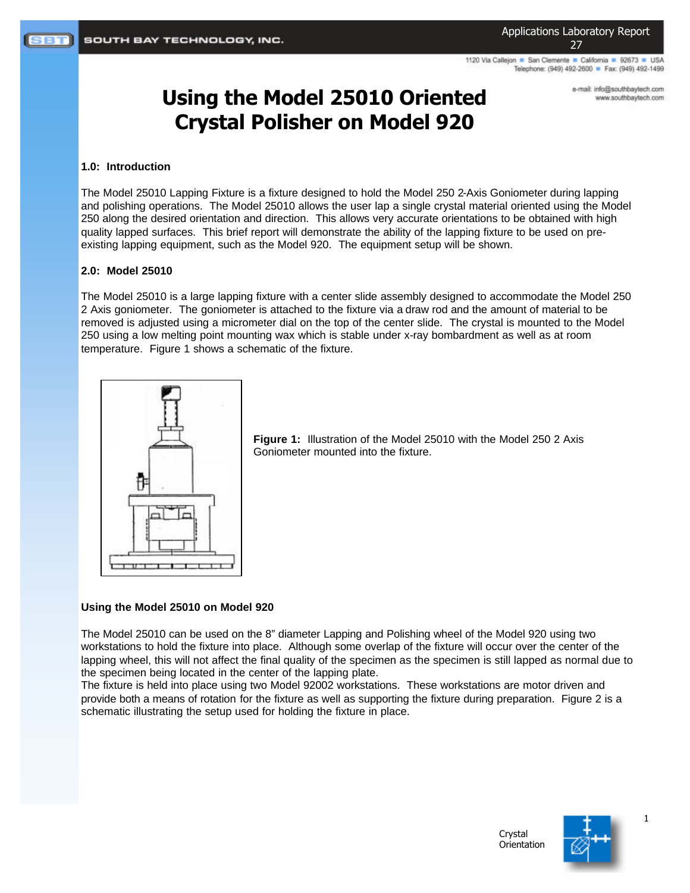1120 Via Callejon · San Clemente · California · 92673 · USA Telephone: (949) 492-2600 Fax: (949) 492-1499

> e-mail: info@southbaytech.com www.southbaytech.com

# **Using the Model 25010 Oriented Crystal Polisher on Model 920**

#### **1.0: Introduction**

The Model 25010 Lapping Fixture is a fixture designed to hold the Model 250 2-Axis Goniometer during lapping and polishing operations. The Model 25010 allows the user lap a single crystal material oriented using the Model 250 along the desired orientation and direction. This allows very accurate orientations to be obtained with high quality lapped surfaces. This brief report will demonstrate the ability of the lapping fixture to be used on preexisting lapping equipment, such as the Model 920. The equipment setup will be shown.

### **2.0: Model 25010**

The Model 25010 is a large lapping fixture with a center slide assembly designed to accommodate the Model 250 2 Axis goniometer. The goniometer is attached to the fixture via a draw rod and the amount of material to be removed is adjusted using a micrometer dial on the top of the center slide. The crystal is mounted to the Model 250 using a low melting point mounting wax which is stable under x-ray bombardment as well as at room temperature. Figure 1 shows a schematic of the fixture.



**Figure 1:** Illustration of the Model 25010 with the Model 250 2 Axis Goniometer mounted into the fixture.

## **Using the Model 25010 on Model 920**

The Model 25010 can be used on the 8" diameter Lapping and Polishing wheel of the Model 920 using two workstations to hold the fixture into place. Although some overlap of the fixture will occur over the center of the lapping wheel, this will not affect the final quality of the specimen as the specimen is still lapped as normal due to the specimen being located in the center of the lapping plate.

The fixture is held into place using two Model 92002 workstations. These workstations are motor driven and provide both a means of rotation for the fixture as well as supporting the fixture during preparation. Figure 2 is a schematic illustrating the setup used for holding the fixture in place.